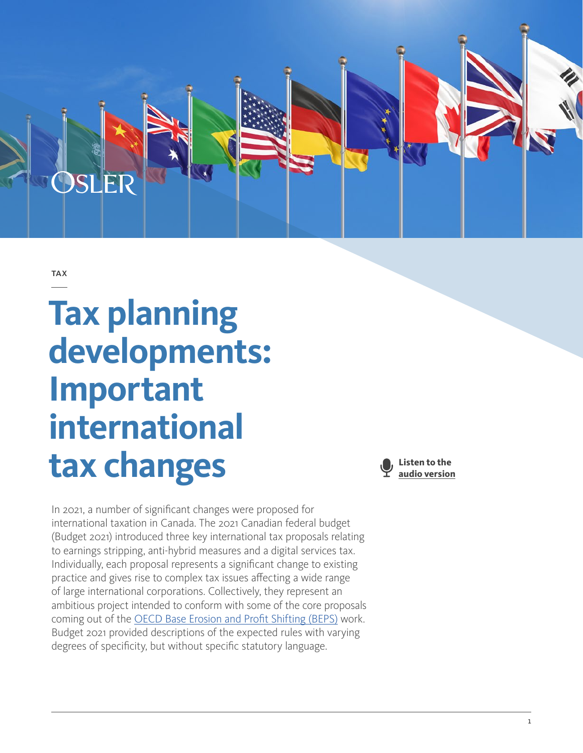

**TAX** 

# **Tax planning developments: Important international tax changes**

In 2021, a number of significant changes were proposed for international taxation in Canada. The 2021 Canadian federal budget (Budget 2021) introduced three key international tax proposals relating to earnings stripping, anti-hybrid measures and a digital services tax. Individually, each proposal represents a significant change to existing practice and gives rise to complex tax issues affecting a wide range of large international corporations. Collectively, they represent an ambitious project intended to conform with some of the core proposals coming out of the [OECD Base Erosion and Profit Shifting \(BEPS\)](https://www.oecd.org/tax/beps/) work. Budget 2021 provided descriptions of the expected rules with varying degrees of specificity, but without specific statutory language.

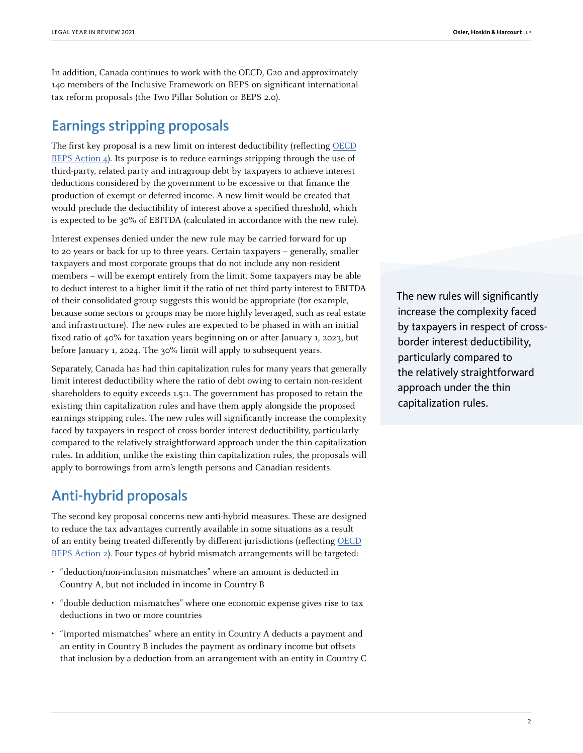In addition, Canada continues to work with the OECD, G20 and approximately 140 members of the Inclusive Framework on BEPS on significant international tax reform proposals (the Two Pillar Solution or BEPS 2.0).

## Earnings stripping proposals

The first key proposal is a new limit on interest deductibility (reflecting [OECD](https://www.oecd.org/tax/beps/beps-actions/action4/) [BEPS Action 4\)](https://www.oecd.org/tax/beps/beps-actions/action4/). Its purpose is to reduce earnings stripping through the use of third-party, related party and intragroup debt by taxpayers to achieve interest deductions considered by the government to be excessive or that finance the production of exempt or deferred income. A new limit would be created that would preclude the deductibility of interest above a specified threshold, which is expected to be 30% of EBITDA (calculated in accordance with the new rule).

Interest expenses denied under the new rule may be carried forward for up to 20 years or back for up to three years. Certain taxpayers – generally, smaller taxpayers and most corporate groups that do not include any non-resident members – will be exempt entirely from the limit. Some taxpayers may be able to deduct interest to a higher limit if the ratio of net third-party interest to EBITDA of their consolidated group suggests this would be appropriate (for example, because some sectors or groups may be more highly leveraged, such as real estate and infrastructure). The new rules are expected to be phased in with an initial fixed ratio of 40% for taxation years beginning on or after January 1, 2023, but before January 1, 2024. The 30% limit will apply to subsequent years.

Separately, Canada has had thin capitalization rules for many years that generally limit interest deductibility where the ratio of debt owing to certain non-resident shareholders to equity exceeds 1.5:1. The government has proposed to retain the existing thin capitalization rules and have them apply alongside the proposed earnings stripping rules. The new rules will significantly increase the complexity faced by taxpayers in respect of cross-border interest deductibility, particularly compared to the relatively straightforward approach under the thin capitalization rules. In addition, unlike the existing thin capitalization rules, the proposals will apply to borrowings from arm's length persons and Canadian residents.

### Anti-hybrid proposals

The second key proposal concerns new anti-hybrid measures. These are designed to reduce the tax advantages currently available in some situations as a result of an entity being treated differently by different jurisdictions (reflecting [OECD](https://www.oecd.org/tax/beps/beps-actions/action2/) [BEPS Action 2\)](https://www.oecd.org/tax/beps/beps-actions/action2/). Four types of hybrid mismatch arrangements will be targeted:

- "deduction/non-inclusion mismatches" where an amount is deducted in Country A, but not included in income in Country B
- "double deduction mismatches" where one economic expense gives rise to tax deductions in two or more countries
- "imported mismatches" where an entity in Country A deducts a payment and an entity in Country B includes the payment as ordinary income but offsets that inclusion by a deduction from an arrangement with an entity in Country C

The new rules will significantly increase the complexity faced by taxpayers in respect of crossborder interest deductibility, particularly compared to the relatively straightforward approach under the thin capitalization rules.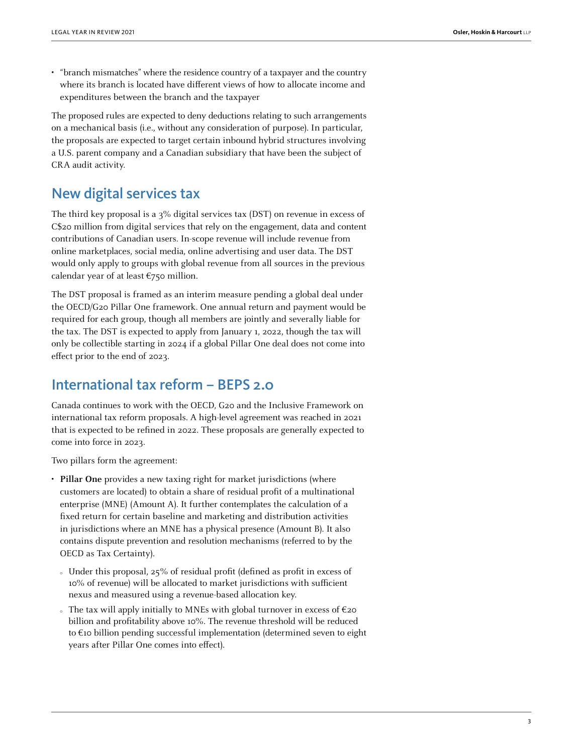• "branch mismatches" where the residence country of a taxpayer and the country where its branch is located have different views of how to allocate income and expenditures between the branch and the taxpayer

The proposed rules are expected to deny deductions relating to such arrangements on a mechanical basis (i.e., without any consideration of purpose). In particular, the proposals are expected to target certain inbound hybrid structures involving a U.S. parent company and a Canadian subsidiary that have been the subject of CRA audit activity.

# New digital services tax

The third key proposal is a 3% digital services tax (DST) on revenue in excess of C\$20 million from digital services that rely on the engagement, data and content contributions of Canadian users. In-scope revenue will include revenue from online marketplaces, social media, online advertising and user data. The DST would only apply to groups with global revenue from all sources in the previous calendar year of at least  $\epsilon$ 750 million.

The DST proposal is framed as an interim measure pending a global deal under the OECD/G20 Pillar One framework. One annual return and payment would be required for each group, though all members are jointly and severally liable for the tax. The DST is expected to apply from January 1, 2022, though the tax will only be collectible starting in 2024 if a global Pillar One deal does not come into effect prior to the end of 2023.

#### International tax reform – BEPS 2.0

Canada continues to work with the OECD, G20 and the Inclusive Framework on international tax reform proposals. A high-level agreement was reached in 2021 that is expected to be refined in 2022. These proposals are generally expected to come into force in 2023.

Two pillars form the agreement:

- **Pillar One** provides a new taxing right for market jurisdictions (where customers are located) to obtain a share of residual profit of a multinational enterprise (MNE) (Amount A). It further contemplates the calculation of a fixed return for certain baseline and marketing and distribution activities in jurisdictions where an MNE has a physical presence (Amount B). It also contains dispute prevention and resolution mechanisms (referred to by the OECD as Tax Certainty).
	- { Under this proposal, 25% of residual profit (defined as profit in excess of 10% of revenue) will be allocated to market jurisdictions with sufficient nexus and measured using a revenue-based allocation key.
	- $\sim$  The tax will apply initially to MNEs with global turnover in excess of  $\epsilon$ 20 billion and profitability above 10%. The revenue threshold will be reduced to €10 billion pending successful implementation (determined seven to eight years after Pillar One comes into effect).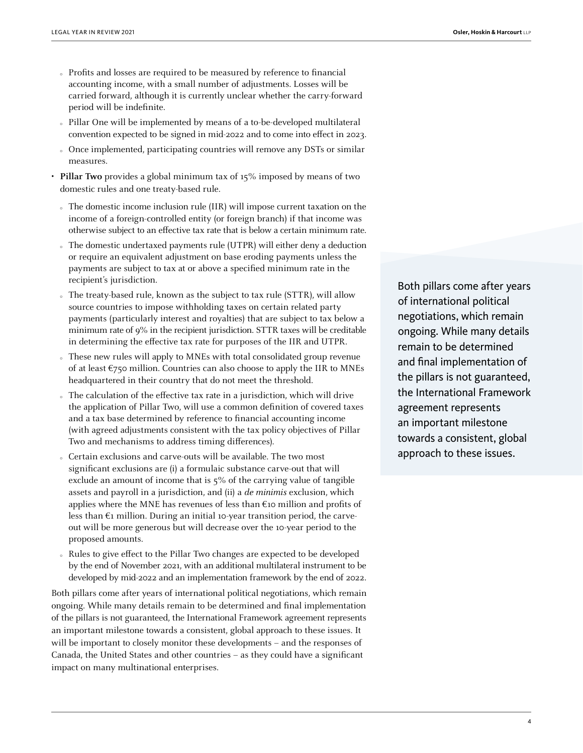- { Profits and losses are required to be measured by reference to financial accounting income, with a small number of adjustments. Losses will be carried forward, although it is currently unclear whether the carry-forward period will be indefinite.
- { Pillar One will be implemented by means of a to-be-developed multilateral convention expected to be signed in mid-2022 and to come into effect in 2023.
- { Once implemented, participating countries will remove any DSTs or similar measures.
- **Pillar Two** provides a global minimum tax of 15% imposed by means of two domestic rules and one treaty-based rule.
	- { The domestic income inclusion rule (IIR) will impose current taxation on the income of a foreign-controlled entity (or foreign branch) if that income was otherwise subject to an effective tax rate that is below a certain minimum rate.
	- { The domestic undertaxed payments rule (UTPR) will either deny a deduction or require an equivalent adjustment on base eroding payments unless the payments are subject to tax at or above a specified minimum rate in the recipient's jurisdiction.
	- The treaty-based rule, known as the subject to tax rule (STTR), will allow source countries to impose withholding taxes on certain related party payments (particularly interest and royalties) that are subject to tax below a minimum rate of 9% in the recipient jurisdiction. STTR taxes will be creditable in determining the effective tax rate for purposes of the IIR and UTPR.
	- These new rules will apply to MNEs with total consolidated group revenue of at least  $\epsilon$ 750 million. Countries can also choose to apply the IIR to MNEs headquartered in their country that do not meet the threshold.
	- The calculation of the effective tax rate in a jurisdiction, which will drive the application of Pillar Two, will use a common definition of covered taxes and a tax base determined by reference to financial accounting income (with agreed adjustments consistent with the tax policy objectives of Pillar Two and mechanisms to address timing differences).
	- { Certain exclusions and carve-outs will be available. The two most significant exclusions are (i) a formulaic substance carve-out that will exclude an amount of income that is 5% of the carrying value of tangible assets and payroll in a jurisdiction, and (ii) a de minimis exclusion, which applies where the MNE has revenues of less than  $\epsilon$ 10 million and profits of less than  $\epsilon_1$  million. During an initial 10-year transition period, the carveout will be more generous but will decrease over the 10-year period to the proposed amounts.
	- { Rules to give effect to the Pillar Two changes are expected to be developed by the end of November 2021, with an additional multilateral instrument to be developed by mid-2022 and an implementation framework by the end of 2022.

Both pillars come after years of international political negotiations, which remain ongoing. While many details remain to be determined and final implementation of the pillars is not guaranteed, the International Framework agreement represents an important milestone towards a consistent, global approach to these issues. It will be important to closely monitor these developments – and the responses of Canada, the United States and other countries – as they could have a significant impact on many multinational enterprises.

Both pillars come after years of international political negotiations, which remain ongoing. While many details remain to be determined and final implementation of the pillars is not guaranteed, the International Framework agreement represents an important milestone towards a consistent, global approach to these issues.